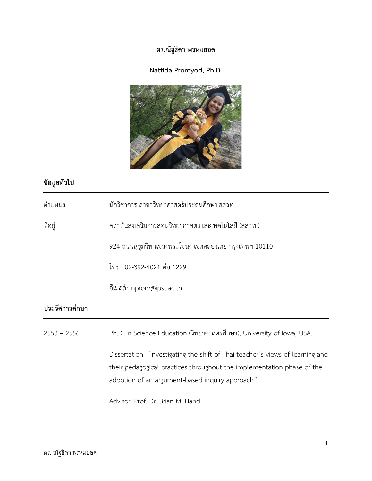## **ดร.ณัฐธิดา พรหมยอด**

### **Nattida Promyod, Ph.D.**



# **ขอมูลทั่วไป**

| ตำแหน่ง         | ้นักวิชาการ สาขาวิทยาศาสตร์ประถมศึกษา สสวท.                                                                                                                                                                 |
|-----------------|-------------------------------------------------------------------------------------------------------------------------------------------------------------------------------------------------------------|
| ที่อยู่         | สถาบันส่งเสริมการสอนวิทยาศาสตร์และเทคโนโลยี (สสวท.)                                                                                                                                                         |
|                 | 924 ถนนสุขุมวิท แขวงพระโขนง เขตคลองเตย กรุงเทพฯ 10110                                                                                                                                                       |
|                 | โทร. 02-392-4021 ต่อ 1229                                                                                                                                                                                   |
|                 | อีเมลล์: nprom@ipst.ac.th                                                                                                                                                                                   |
| ประวัติการศึกษา |                                                                                                                                                                                                             |
| $2553 - 2556$   | Ph.D. in Science Education (วิทยาศาสตรศึกษา), University of Iowa, USA.                                                                                                                                      |
|                 | Dissertation: "Investigating the shift of Thai teacher's views of learning and<br>their pedagogical practices throughout the implementation phase of the<br>adoption of an argument-based inquiry approach" |
|                 | Advisor: Prof. Dr. Brian M. Hand                                                                                                                                                                            |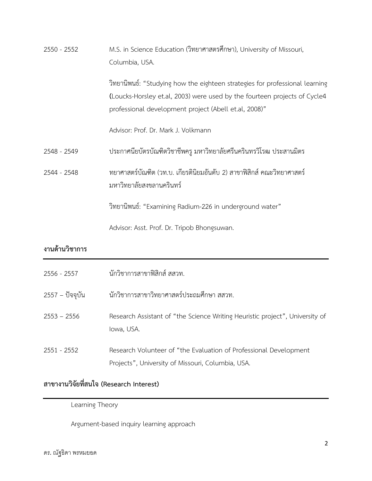| 2550 - 2552     | M.S. in Science Education (วิทยาศาสตรศึกษา), University of Missouri,<br>Columbia, USA.                                                                                                                             |
|-----------------|--------------------------------------------------------------------------------------------------------------------------------------------------------------------------------------------------------------------|
|                 | วิทยานิพนธ์: "Studying how the eighteen strategies for professional learning<br>(Loucks-Horsley et.al, 2003) were used by the fourteen projects of Cycle4<br>professional development project (Abell et.al, 2008)" |
|                 | Advisor: Prof. Dr. Mark J. Volkmann                                                                                                                                                                                |
| 2548 - 2549     | ประกาศนียบัตรบัณฑิตวิชาชีพครู มหาวิทยาลัยศรีนครินทรวิโรฒ ประสานมิตร                                                                                                                                                |
| 2544 - 2548     | ทยาศาสตร์บัณฑิต (วท.บ. เกียรตินิยมอันดับ 2) สาขาฟิสิกส์ คณะวิทยาศาสตร์<br>มหาวิทยาลัยสงขลานครินทร์                                                                                                                 |
|                 | วิทยานิพนธ์: "Examining Radium-226 in underground water"                                                                                                                                                           |
|                 | Advisor: Asst. Prof. Dr. Tripob Bhongsuwan.                                                                                                                                                                        |
| งานด้านวิชาการ  |                                                                                                                                                                                                                    |
| 2556 - 2557     | นักวิชาการสาขาฟิสิกส์ สสวท.                                                                                                                                                                                        |
| 2557 – ปัจจุบัน | นักวิชาการสาขาวิทยาศาสตร์ประถมศึกษา สสวท.                                                                                                                                                                          |
| $2553 - 2556$   | Research Assistant of "the Science Writing Heuristic project", University of<br>lowa, USA.                                                                                                                         |

2551 - 2552 Research Volunteer of "the Evaluation of Professional Development Projects", University of Missouri, Columbia, USA.

## **สาขางานวิจัยที่สนใจ (Research Interest)**

Learning Theory

Argument-based inquiry learning approach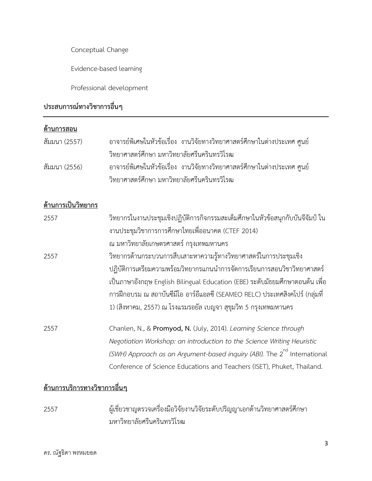Conceptual Change

Evidence-based learning

Professional development

## **ประสบการณทางวิชาการอื่นๆ**

#### **ดานการสอน**

| สัมมนา (2557) |                                             | อาจารย์พิเศษในหัวข้อเรื่อง งานวิจัยทางวิทยาศาสตร์ศึกษาในต่างประเทศ ศูนย์  |
|---------------|---------------------------------------------|---------------------------------------------------------------------------|
|               | วิทยาศาสตร์ศึกษา มหาวิทยาลัยศรีนครินทรวิโรฒ |                                                                           |
| สัมมนา (2556) |                                             | ้อาจารย์พิเศษในหัวข้อเรื่อง งานวิจัยทางวิทยาศาสตร์ศึกษาในต่างประเทศ ศูนย์ |
|               | วิทยาศาสตร์ศึกษา มหาวิทยาลัยศรีนครินทรวิโรฒ |                                                                           |

#### **ดานการเปนวิทยากร**

| 2557 | วิทยากรในงานประชุมเชิงปฏิบัติการกิจกรรมสะเต็มศึกษาในหัวข้อสนุกกับบันจีจัมป์ ใน<br>งานประชุมวิชาการการศึกษาไทยเพื่ออนาคต (CTEF 2014)                                                                                                                                                                            |
|------|----------------------------------------------------------------------------------------------------------------------------------------------------------------------------------------------------------------------------------------------------------------------------------------------------------------|
|      | ณ มหาวิทยาลัยเกษตรศาสตร์ กรุงเทพมหานคร                                                                                                                                                                                                                                                                         |
| 2557 | วิทยากรด้านกระบวนการสืบเสาะหาความรู้ทางวิทยาศาสตร์ในการประชุมเชิง                                                                                                                                                                                                                                              |
|      | ปฏิบัติการเตรียมความพร้อมวิทยากรแกนนำการจัดการเรียนการสอนวิชาวิทยาศาสตร์<br>เป็นภาษาอังกฤษ English Bilingual Education (EBE) ระดับมัธยมศึกษาตอนต้น เพื่อ<br>การฝึกอบรม ณ สถาบันซีมีโอ อาร์อีแอลซี (SEAMEO RELC) ประเทศสิงคโปร์ (กลุ่มที่<br>1) (สิงหาคม, 2557) ณ โรงแรมรอยัล เบญจา สุขุมวิท 5 กรุงเทพมหานคร    |
| 2557 | Chanlen, N., & Promyod, N. (July, 2014). Learning Science through<br>Negotiation Workshop: an introduction to the Science Writing Heuristic<br>(SWH) Approach as an Argument-based inquiry (ABI). The 2 <sup>nd</sup> International<br>Conference of Science Educations and Teachers (ISET), Phuket, Thailand. |

### **ดานการบริการทางวิชาการอื่นๆ**

2557 ผูเชี่ยวชาญตรวจเครื่องมือวิจัยงานวิจัยระดับปริญญาเอกดานวิทยาศาสตรศึกษา มหาวิทยาลัยศรีนครินทรวิโรฒ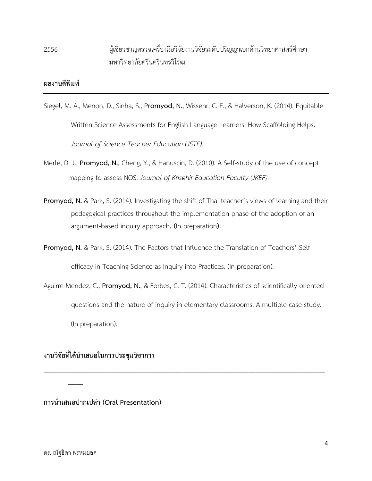## 2556 ผูเชี่ยวชาญตรวจเครื่องมือวิจัยงานวิจัยระดับปริญญาเอกดานวิทยาศาสตรศึกษา มหาวิทยาลัยศรีนครินทรวิโรฒ

#### **ผลงานตีพิมพ**

- Siegel, M. A., Menon, D., Sinha, S., **Promyod, N.**, Wissehr, C. F., & Halverson, K. (2014). Equitable Written Science Assessments for English Language Learners: How Scaffolding Helps. *Journal of Science Teacher Education (JSTE).*
- Merle, D. J., **Promyod, N.**, Cheng, Y., & Hanuscin, D. (2010). A Self-study of the use of concept mapping to assess NOS. *Journal of Krisehir Education Faculty (JKEF)*.
- **Promyod, N.** & Park, S. (2014). Investigating the shift of Thai teacher's views of learning and their pedagogical practices throughout the implementation phase of the adoption of an argument-based inquiry approach**. (**In preparation**).**

**Promyod, N.** & Park, S. (2014). The Factors that Influence the Translation of Teachers' Selfefficacy in Teaching Science as Inquiry into Practices. (In preparation).

Aguirre-Mendez, C., **Promyod, N.**, & Forbes, C. T. (2014). Characteristics of scientifically oriented questions and the nature of inquiry in elementary classrooms: A multiple-case study. (In preparation).

**\_\_\_\_\_\_\_\_\_\_\_\_\_\_\_\_\_\_\_\_\_\_\_\_\_\_\_\_\_\_\_\_\_\_\_\_\_\_\_\_\_\_\_\_\_\_\_\_\_\_\_\_\_\_\_\_\_\_\_\_\_\_\_\_\_\_\_\_\_\_\_\_\_\_\_\_\_**

#### **งานวิจัยที่ไดนําเสนอในการประชุมวิชาการ**

**การนําเสนอปากเปลา (Oral Presentation)**

**\_\_\_\_**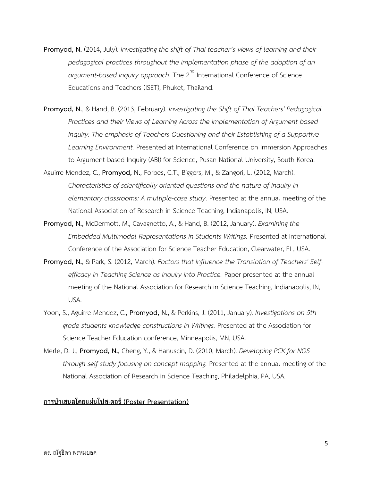- **Promyod, N.** (2014, July). *Investigating the shift of Thai teacher's views of learning and their pedagogical practices throughout the implementation phase of the adoption of an argument-based inquiry approach*. The 2<sup>nd</sup> International Conference of Science Educations and Teachers (ISET), Phuket, Thailand.
- **Promyod, N.**, & Hand, B. (2013, February). *Investigating the Shift of Thai Teachers' Pedagogical Practices and their Views of Learning Across the Implementation of Argument-based Inquiry: The emphasis of Teachers Questioning and their Establishing of a Supportive Learning Environment.* Presented at International Conference on Immersion Approaches to Argument-based Inquiry (ABI) for Science, Pusan National University, South Korea.
- Aguirre-Mendez, C., **Promyod, N.**, Forbes, C.T., Biggers, M., & Zangori, L. (2012, March). *Characteristics of scientifically-oriented questions and the nature of inquiry in elementary classrooms: A multiple-case study*. Presented at the annual meeting of the National Association of Research in Science Teaching, Indianapolis, IN, USA.
- **Promyod, N.**, McDermott, M., Cavagnetto, A., & Hand, B. (2012, January). *Examining the Embedded Multimodal Representations in Students Writings.* Presented at International Conference of the Association for Science Teacher Education, Clearwater, FL, USA.
- **Promyod, N.**, & Park, S. (2012, March). *Factors that Influence the Translation of Teachers' Selfefficacy in Teaching Science as Inquiry into Practice.* Paper presented at the annual meeting of the National Association for Research in Science Teaching, Indianapolis, IN, USA.
- Yoon, S., Aguirre-Mendez, C., **Promyod, N.**, & Perkins, J. (2011, January). *Investigations on 5th grade students knowledge constructions in Writings.* Presented at the Association for Science Teacher Education conference, Minneapolis, MN, USA.
- Merle, D. J., **Promyod, N.**, Cheng, Y., & Hanuscin, D. (2010, March). *Developing PCK for NOS through self-study focusing on concept mapping.* Presented at the annual meeting of the National Association of Research in Science Teaching, Philadelphia, PA, USA.

#### **การนําเสนอโดยแผนโปสเตอร (Poster Presentation)**